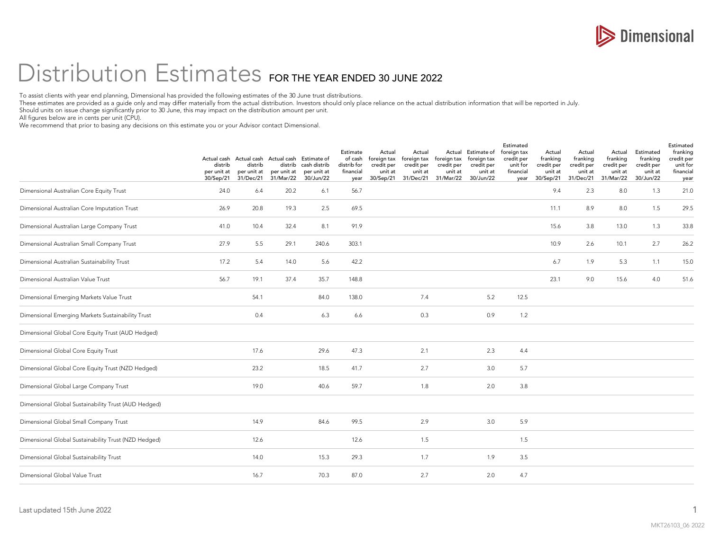

## Distribution Estimates FOR THE YEAR ENDED 30 JUNE 2022

To assist clients with year end planning, Dimensional has provided the following estimates of the 30 June trust distributions.

These estimates are provided as a guide only and may differ materially from the actual distribution. Investors should only place reliance on the actual distribution information that will be reported in July.

Should units on issue change significantly prior to 30 June, this may impact on the distribution amount per unit.

All figures below are in cents per unit (CPU).

We recommend that prior to basing any decisions on this estimate you or your Advisor contact Dimensional.

|                                                      | distrib<br>per unit at<br>30/Sep/21 | Actual cash Actual cash Actual cash Estimate of<br>distrib<br>per unit at<br>31/Dec/21 | distrib<br>per unit at<br>31/Mar/22 | cash distrib<br>per unit at<br>30/Jun/22 | Estimate<br>of cash<br>distrib for<br>financial<br>year | Actual<br>foreign tax<br>credit per<br>unit at<br>30/Sep/21 | Actual<br>foreign tax<br>credit per<br>unit at<br>31/Dec/21 | foreign tax<br>credit per<br>unit at<br>31/Mar/22 | Actual Estimate of<br>foreign tax<br>credit per<br>unit at<br>30/Jun/22 | Estimated<br>foreign tax<br>credit per<br>unit for<br>financial<br>year | Actual<br>franking<br>credit per<br>unit at<br>30/Sep/21 | Actual<br>franking<br>credit per<br>unit at<br>31/Dec/21 | Actual<br>franking<br>credit per<br>unit at<br>31/Mar/22 | Estimated<br>franking<br>credit per<br>unit at<br>30/Jun/22 | Estimated<br>franking<br>credit per<br>unit for<br>financial<br>year |
|------------------------------------------------------|-------------------------------------|----------------------------------------------------------------------------------------|-------------------------------------|------------------------------------------|---------------------------------------------------------|-------------------------------------------------------------|-------------------------------------------------------------|---------------------------------------------------|-------------------------------------------------------------------------|-------------------------------------------------------------------------|----------------------------------------------------------|----------------------------------------------------------|----------------------------------------------------------|-------------------------------------------------------------|----------------------------------------------------------------------|
| Dimensional Australian Core Equity Trust             | 24.0                                | 6.4                                                                                    | 20.2                                | 6.1                                      | 56.7                                                    |                                                             |                                                             |                                                   |                                                                         |                                                                         | 9.4                                                      | 2.3                                                      | 8.0                                                      | 1.3                                                         | 21.0                                                                 |
| Dimensional Australian Core Imputation Trust         | 26.9                                | 20.8                                                                                   | 19.3                                | 2.5                                      | 69.5                                                    |                                                             |                                                             |                                                   |                                                                         |                                                                         | 11.1                                                     | 8.9                                                      | 8.0                                                      | 1.5                                                         | 29.5                                                                 |
| Dimensional Australian Large Company Trust           | 41.0                                | 10.4                                                                                   | 32.4                                | 8.1                                      | 91.9                                                    |                                                             |                                                             |                                                   |                                                                         |                                                                         | 15.6                                                     | 3.8                                                      | 13.0                                                     | 1.3                                                         | 33.8                                                                 |
| Dimensional Australian Small Company Trust           | 27.9                                | 5.5                                                                                    | 29.1                                | 240.6                                    | 303.1                                                   |                                                             |                                                             |                                                   |                                                                         |                                                                         | 10.9                                                     | 2.6                                                      | 10.1                                                     | 2.7                                                         | 26.2                                                                 |
| Dimensional Australian Sustainability Trust          | 17.2                                | 5.4                                                                                    | 14.0                                | 5.6                                      | 42.2                                                    |                                                             |                                                             |                                                   |                                                                         |                                                                         | 6.7                                                      | 1.9                                                      | 5.3                                                      | 1.1                                                         | 15.0                                                                 |
| Dimensional Australian Value Trust                   | 56.7                                | 19.1                                                                                   | 37.4                                | 35.7                                     | 148.8                                                   |                                                             |                                                             |                                                   |                                                                         |                                                                         | 23.1                                                     | 9.0                                                      | 15.6                                                     | 4.0                                                         | 51.6                                                                 |
| Dimensional Emerging Markets Value Trust             |                                     | 54.1                                                                                   |                                     | 84.0                                     | 138.0                                                   |                                                             | 7.4                                                         |                                                   | 5.2                                                                     | 12.5                                                                    |                                                          |                                                          |                                                          |                                                             |                                                                      |
| Dimensional Emerging Markets Sustainability Trust    |                                     | 0.4                                                                                    |                                     | 6.3                                      | 6.6                                                     |                                                             | 0.3                                                         |                                                   | 0.9                                                                     | 1.2                                                                     |                                                          |                                                          |                                                          |                                                             |                                                                      |
| Dimensional Global Core Equity Trust (AUD Hedged)    |                                     |                                                                                        |                                     |                                          |                                                         |                                                             |                                                             |                                                   |                                                                         |                                                                         |                                                          |                                                          |                                                          |                                                             |                                                                      |
| Dimensional Global Core Equity Trust                 |                                     | 17.6                                                                                   |                                     | 29.6                                     | 47.3                                                    |                                                             | 2.1                                                         |                                                   | 2.3                                                                     | 4.4                                                                     |                                                          |                                                          |                                                          |                                                             |                                                                      |
| Dimensional Global Core Equity Trust (NZD Hedged)    |                                     | 23.2                                                                                   |                                     | 18.5                                     | 41.7                                                    |                                                             | 2.7                                                         |                                                   | 3.0                                                                     | 5.7                                                                     |                                                          |                                                          |                                                          |                                                             |                                                                      |
| Dimensional Global Large Company Trust               |                                     | 19.0                                                                                   |                                     | 40.6                                     | 59.7                                                    |                                                             | 1.8                                                         |                                                   | 2.0                                                                     | 3.8                                                                     |                                                          |                                                          |                                                          |                                                             |                                                                      |
| Dimensional Global Sustainability Trust (AUD Hedged) |                                     |                                                                                        |                                     |                                          |                                                         |                                                             |                                                             |                                                   |                                                                         |                                                                         |                                                          |                                                          |                                                          |                                                             |                                                                      |
| Dimensional Global Small Company Trust               |                                     | 14.9                                                                                   |                                     | 84.6                                     | 99.5                                                    |                                                             | 2.9                                                         |                                                   | 3.0                                                                     | 5.9                                                                     |                                                          |                                                          |                                                          |                                                             |                                                                      |
| Dimensional Global Sustainability Trust (NZD Hedged) |                                     | 12.6                                                                                   |                                     |                                          | 12.6                                                    |                                                             | 1.5                                                         |                                                   |                                                                         | 1.5                                                                     |                                                          |                                                          |                                                          |                                                             |                                                                      |
| Dimensional Global Sustainability Trust              |                                     | 14.0                                                                                   |                                     | 15.3                                     | 29.3                                                    |                                                             | 1.7                                                         |                                                   | 1.9                                                                     | 3.5                                                                     |                                                          |                                                          |                                                          |                                                             |                                                                      |
| Dimensional Global Value Trust                       |                                     | 16.7                                                                                   |                                     | 70.3                                     | 87.0                                                    |                                                             | 2.7                                                         |                                                   | 2.0                                                                     | 4.7                                                                     |                                                          |                                                          |                                                          |                                                             |                                                                      |

1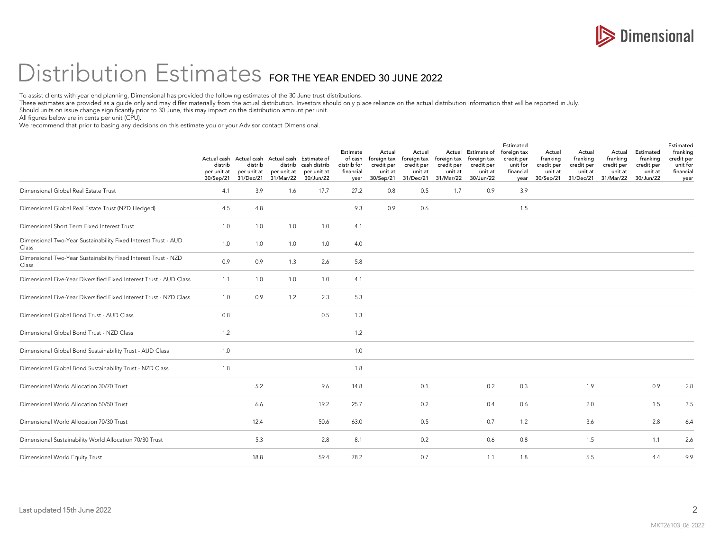

## Distribution Estimates FOR THE YEAR ENDED 30 JUNE 2022

To assist clients with year end planning, Dimensional has provided the following estimates of the 30 June trust distributions.

These estimates are provided as a guide only and may differ materially from the actual distribution. Investors should only place reliance on the actual distribution information that will be reported in July.

Should units on issue change significantly prior to 30 June, this may impact on the distribution amount per unit.

All figures below are in cents per unit (CPU).

We recommend that prior to basing any decisions on this estimate you or your Advisor contact Dimensional.

|                                                                         | distrib<br>per unit at<br>30/Sep/21 | Actual cash Actual cash Actual cash Estimate of<br>distrib<br>per unit at<br>31/Dec/21 | per unit at<br>31/Mar/22 | distrib cash distrib<br>per unit at<br>30/Jun/22 | Estimate<br>of cash<br>distrib for<br>financial<br>year | Actual<br>credit per<br>unit at<br>30/Sep/21 | Actual<br>foreign tax foreign tax foreign tax<br>credit per<br>unit at<br>31/Dec/21 | credit per<br>unit at<br>31/Mar/22 | Actual Estimate of<br>foreign tax<br>credit per<br>unit at<br>30/Jun/22 | Estimated<br>foreign tax<br>credit per<br>unit for<br>financial<br>year | Actual<br>franking<br>credit per<br>unit at<br>30/Sep/21 | Actual<br>franking<br>credit per<br>unit at<br>31/Dec/21 | Actual<br>franking<br>credit per<br>unit at<br>31/Mar/22 | Estimated<br>franking<br>credit per<br>unit at<br>30/Jun/22 | Estimated<br>franking<br>credit per<br>unit for<br>financial<br>year |
|-------------------------------------------------------------------------|-------------------------------------|----------------------------------------------------------------------------------------|--------------------------|--------------------------------------------------|---------------------------------------------------------|----------------------------------------------|-------------------------------------------------------------------------------------|------------------------------------|-------------------------------------------------------------------------|-------------------------------------------------------------------------|----------------------------------------------------------|----------------------------------------------------------|----------------------------------------------------------|-------------------------------------------------------------|----------------------------------------------------------------------|
| Dimensional Global Real Estate Trust                                    | 4.1                                 | 3.9                                                                                    | 1.6                      | 17.7                                             | 27.2                                                    | 0.8                                          | 0.5                                                                                 | 1.7                                | 0.9                                                                     | 3.9                                                                     |                                                          |                                                          |                                                          |                                                             |                                                                      |
| Dimensional Global Real Estate Trust (NZD Hedged)                       | 4.5                                 | 4.8                                                                                    |                          |                                                  | 9.3                                                     | 0.9                                          | 0.6                                                                                 |                                    |                                                                         | 1.5                                                                     |                                                          |                                                          |                                                          |                                                             |                                                                      |
| Dimensional Short Term Fixed Interest Trust                             | 1.0                                 | 1.0                                                                                    | 1.0                      | 1.0                                              | 4.1                                                     |                                              |                                                                                     |                                    |                                                                         |                                                                         |                                                          |                                                          |                                                          |                                                             |                                                                      |
| Dimensional Two-Year Sustainability Fixed Interest Trust - AUD<br>Class | 1.0                                 | 1.0                                                                                    | 1.0                      | 1.0                                              | 4.0                                                     |                                              |                                                                                     |                                    |                                                                         |                                                                         |                                                          |                                                          |                                                          |                                                             |                                                                      |
| Dimensional Two-Year Sustainability Fixed Interest Trust - NZD<br>Class | 0.9                                 | 0.9                                                                                    | 1.3                      | 2.6                                              | 5.8                                                     |                                              |                                                                                     |                                    |                                                                         |                                                                         |                                                          |                                                          |                                                          |                                                             |                                                                      |
| Dimensional Five-Year Diversified Fixed Interest Trust - AUD Class      | 1.1                                 | 1.0                                                                                    | 1.0                      | 1.0                                              | 4.1                                                     |                                              |                                                                                     |                                    |                                                                         |                                                                         |                                                          |                                                          |                                                          |                                                             |                                                                      |
| Dimensional Five-Year Diversified Fixed Interest Trust - NZD Class      | 1.0                                 | 0.9                                                                                    | 1.2                      | 2.3                                              | 5.3                                                     |                                              |                                                                                     |                                    |                                                                         |                                                                         |                                                          |                                                          |                                                          |                                                             |                                                                      |
| Dimensional Global Bond Trust - AUD Class                               | 0.8                                 |                                                                                        |                          | 0.5                                              | 1.3                                                     |                                              |                                                                                     |                                    |                                                                         |                                                                         |                                                          |                                                          |                                                          |                                                             |                                                                      |
| Dimensional Global Bond Trust - NZD Class                               | 1.2                                 |                                                                                        |                          |                                                  | 1.2                                                     |                                              |                                                                                     |                                    |                                                                         |                                                                         |                                                          |                                                          |                                                          |                                                             |                                                                      |
| Dimensional Global Bond Sustainability Trust - AUD Class                | 1.0                                 |                                                                                        |                          |                                                  | 1.0                                                     |                                              |                                                                                     |                                    |                                                                         |                                                                         |                                                          |                                                          |                                                          |                                                             |                                                                      |
| Dimensional Global Bond Sustainability Trust - NZD Class                | 1.8                                 |                                                                                        |                          |                                                  | 1.8                                                     |                                              |                                                                                     |                                    |                                                                         |                                                                         |                                                          |                                                          |                                                          |                                                             |                                                                      |
| Dimensional World Allocation 30/70 Trust                                |                                     | 5.2                                                                                    |                          | 9.6                                              | 14.8                                                    |                                              | 0.1                                                                                 |                                    | 0.2                                                                     | 0.3                                                                     |                                                          | 1.9                                                      |                                                          | 0.9                                                         | 2.8                                                                  |
| Dimensional World Allocation 50/50 Trust                                |                                     | 6.6                                                                                    |                          | 19.2                                             | 25.7                                                    |                                              | 0.2                                                                                 |                                    | 0.4                                                                     | 0.6                                                                     |                                                          | 2.0                                                      |                                                          | 1.5                                                         | 3.5                                                                  |
| Dimensional World Allocation 70/30 Trust                                |                                     | 12.4                                                                                   |                          | 50.6                                             | 63.0                                                    |                                              | 0.5                                                                                 |                                    | 0.7                                                                     | 1.2                                                                     |                                                          | 3.6                                                      |                                                          | 2.8                                                         | 6.4                                                                  |
| Dimensional Sustainability World Allocation 70/30 Trust                 |                                     | 5.3                                                                                    |                          | 2.8                                              | 8.1                                                     |                                              | 0.2                                                                                 |                                    | 0.6                                                                     | 0.8                                                                     |                                                          | 1.5                                                      |                                                          | 1.1                                                         | 2.6                                                                  |
| Dimensional World Equity Trust                                          |                                     | 18.8                                                                                   |                          | 59.4                                             | 78.2                                                    |                                              | 0.7                                                                                 |                                    | 1.1                                                                     | 1.8                                                                     |                                                          | 5.5                                                      |                                                          | 4.4                                                         | 9.9                                                                  |